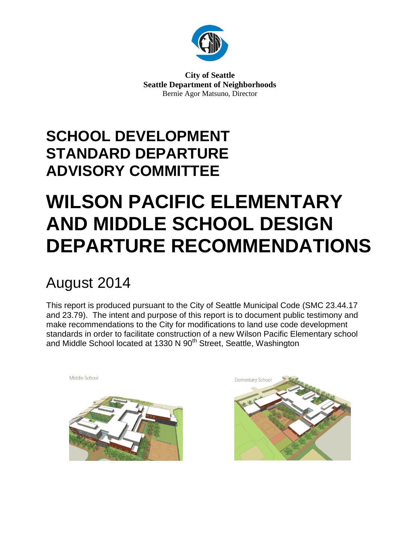

**City of Seattle Seattle Department of Neighborhoods** Bernie Agor Matsuno, Director

## **SCHOOL DEVELOPMENT STANDARD DEPARTURE ADVISORY COMMITTEE**

# **WILSON PACIFIC ELEMENTARY AND MIDDLE SCHOOL DESIGN DEPARTURE RECOMMENDATIONS**

## August 2014

Middle School

This report is produced pursuant to the City of Seattle Municipal Code (SMC 23.44.17 and 23.79). The intent and purpose of this report is to document public testimony and make recommendations to the City for modifications to land use code development standards in order to facilitate construction of a new Wilson Pacific Elementary school and Middle School located at 1330 N 90<sup>th</sup> Street, Seattle, Washington



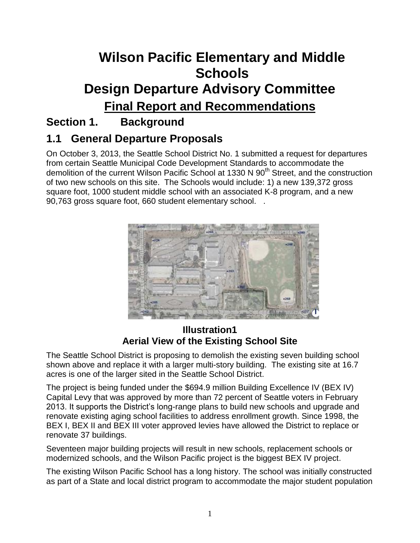## **Wilson Pacific Elementary and Middle Schools Design Departure Advisory Committee Final Report and Recommendations**

### **Section 1. Background**

### **1.1 General Departure Proposals**

On October 3, 2013, the Seattle School District No. 1 submitted a request for departures from certain Seattle Municipal Code Development Standards to accommodate the demolition of the current Wilson Pacific School at 1330 N 90<sup>th</sup> Street, and the construction of two new schools on this site. The Schools would include: 1) a new 139,372 gross square foot, 1000 student middle school with an associated K-8 program, and a new 90,763 gross square foot, 660 student elementary school. .



#### **Illustration1 Aerial View of the Existing School Site**

The Seattle School District is proposing to demolish the existing seven building school shown above and replace it with a larger multi-story building. The existing site at 16.7 acres is one of the larger sited in the Seattle School District.

The project is being funded under the \$694.9 million Building Excellence IV (BEX IV) Capital Levy that was approved by more than 72 percent of Seattle voters in February 2013. It supports the District's long-range plans to build new schools and upgrade and renovate existing aging school facilities to address enrollment growth. Since 1998, the BEX I, BEX II and BEX III voter approved levies have allowed the District to replace or renovate 37 buildings.

Seventeen major building projects will result in new schools, replacement schools or modernized schools, and the Wilson Pacific project is the biggest BEX IV project.

The existing Wilson Pacific School has a long history. The school was initially constructed as part of a State and local district program to accommodate the major student population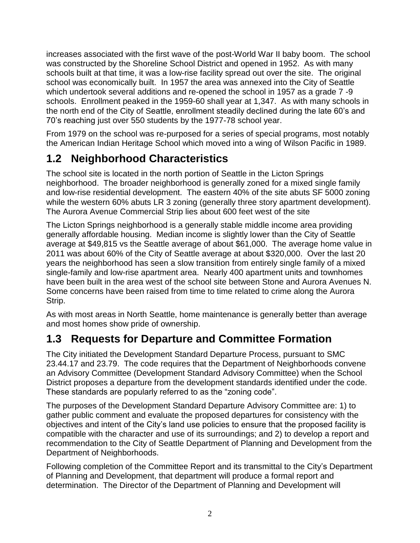increases associated with the first wave of the post-World War II baby boom. The school was constructed by the Shoreline School District and opened in 1952. As with many schools built at that time, it was a low-rise facility spread out over the site. The original school was economically built. In 1957 the area was annexed into the City of Seattle which undertook several additions and re-opened the school in 1957 as a grade 7-9 schools. Enrollment peaked in the 1959-60 shall year at 1,347. As with many schools in the north end of the City of Seattle, enrollment steadily declined during the late 60's and 70's reaching just over 550 students by the 1977-78 school year.

From 1979 on the school was re-purposed for a series of special programs, most notably the American Indian Heritage School which moved into a wing of Wilson Pacific in 1989.

### **1.2 Neighborhood Characteristics**

The school site is located in the north portion of Seattle in the Licton Springs neighborhood. The broader neighborhood is generally zoned for a mixed single family and low-rise residential development. The eastern 40% of the site abuts SF 5000 zoning while the western 60% abuts LR 3 zoning (generally three story apartment development). The Aurora Avenue Commercial Strip lies about 600 feet west of the site

The Licton Springs neighborhood is a generally stable middle income area providing generally affordable housing. Median income is slightly lower than the City of Seattle average at \$49,815 vs the Seattle average of about \$61,000. The average home value in 2011 was about 60% of the City of Seattle average at about \$320,000. Over the last 20 years the neighborhood has seen a slow transition from entirely single family of a mixed single-family and low-rise apartment area. Nearly 400 apartment units and townhomes have been built in the area west of the school site between Stone and Aurora Avenues N. Some concerns have been raised from time to time related to crime along the Aurora Strip.

As with most areas in North Seattle, home maintenance is generally better than average and most homes show pride of ownership.

### **1.3 Requests for Departure and Committee Formation**

The City initiated the Development Standard Departure Process, pursuant to SMC 23.44.17 and 23.79. The code requires that the Department of Neighborhoods convene an Advisory Committee (Development Standard Advisory Committee) when the School District proposes a departure from the development standards identified under the code. These standards are popularly referred to as the "zoning code".

The purposes of the Development Standard Departure Advisory Committee are: 1) to gather public comment and evaluate the proposed departures for consistency with the objectives and intent of the City's land use policies to ensure that the proposed facility is compatible with the character and use of its surroundings; and 2) to develop a report and recommendation to the City of Seattle Department of Planning and Development from the Department of Neighborhoods.

Following completion of the Committee Report and its transmittal to the City's Department of Planning and Development, that department will produce a formal report and determination. The Director of the Department of Planning and Development will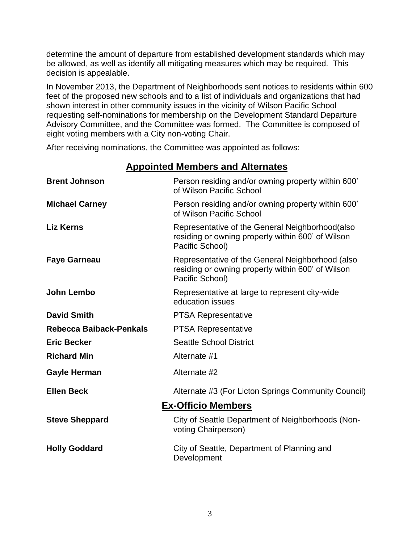determine the amount of departure from established development standards which may be allowed, as well as identify all mitigating measures which may be required. This decision is appealable.

In November 2013, the Department of Neighborhoods sent notices to residents within 600 feet of the proposed new schools and to a list of individuals and organizations that had shown interest in other community issues in the vicinity of Wilson Pacific School requesting self-nominations for membership on the Development Standard Departure Advisory Committee, and the Committee was formed. The Committee is composed of eight voting members with a City non-voting Chair.

After receiving nominations, the Committee was appointed as follows:

| <b>Brent Johnson</b>      | Person residing and/or owning property within 600'<br>of Wilson Pacific School                                           |
|---------------------------|--------------------------------------------------------------------------------------------------------------------------|
| <b>Michael Carney</b>     | Person residing and/or owning property within 600'<br>of Wilson Pacific School                                           |
| <b>Liz Kerns</b>          | Representative of the General Neighborhood(also<br>residing or owning property within 600' of Wilson<br>Pacific School)  |
| <b>Faye Garneau</b>       | Representative of the General Neighborhood (also<br>residing or owning property within 600' of Wilson<br>Pacific School) |
| John Lembo                | Representative at large to represent city-wide<br>education issues                                                       |
| <b>David Smith</b>        | <b>PTSA Representative</b>                                                                                               |
| Rebecca Baiback-Penkals   | <b>PTSA Representative</b>                                                                                               |
| <b>Eric Becker</b>        | <b>Seattle School District</b>                                                                                           |
| <b>Richard Min</b>        | Alternate #1                                                                                                             |
| <b>Gayle Herman</b>       | Alternate #2                                                                                                             |
| <b>Ellen Beck</b>         | Alternate #3 (For Licton Springs Community Council)                                                                      |
| <b>Ex-Officio Members</b> |                                                                                                                          |
| <b>Steve Sheppard</b>     | City of Seattle Department of Neighborhoods (Non-<br>voting Chairperson)                                                 |
| <b>Holly Goddard</b>      | City of Seattle, Department of Planning and<br>Development                                                               |

### **Appointed Members and Alternates**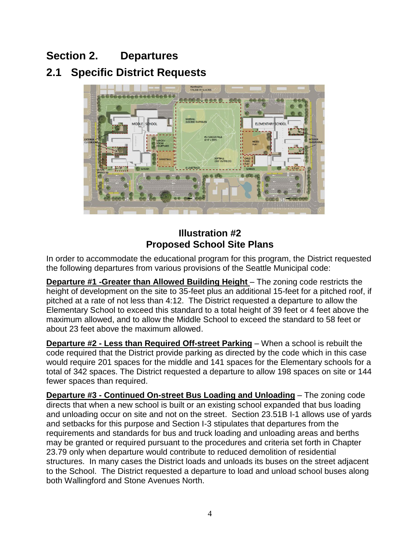### **Section 2. Departures**

### **2.1 Specific District Requests**



### **Illustration #2 Proposed School Site Plans**

In order to accommodate the educational program for this program, the District requested the following departures from various provisions of the Seattle Municipal code:

**Departure #1 -Greater than Allowed Building Height** – The zoning code restricts the height of development on the site to 35-feet plus an additional 15-feet for a pitched roof, if pitched at a rate of not less than 4:12. The District requested a departure to allow the Elementary School to exceed this standard to a total height of 39 feet or 4 feet above the maximum allowed, and to allow the Middle School to exceed the standard to 58 feet or about 23 feet above the maximum allowed.

**Departure #2 - Less than Required Off-street Parking** – When a school is rebuilt the code required that the District provide parking as directed by the code which in this case would require 201 spaces for the middle and 141 spaces for the Elementary schools for a total of 342 spaces. The District requested a departure to allow 198 spaces on site or 144 fewer spaces than required.

**Departure #3 - Continued On-street Bus Loading and Unloading** – The zoning code directs that when a new school is built or an existing school expanded that bus loading and unloading occur on site and not on the street. Section 23.51B I-1 allows use of yards and setbacks for this purpose and Section I-3 stipulates that departures from the requirements and standards for bus and truck loading and unloading areas and berths may be granted or required pursuant to the procedures and criteria set forth in Chapter 23.79 only when departure would contribute to reduced demolition of residential structures. In many cases the District loads and unloads its buses on the street adjacent to the School. The District requested a departure to load and unload school buses along both Wallingford and Stone Avenues North.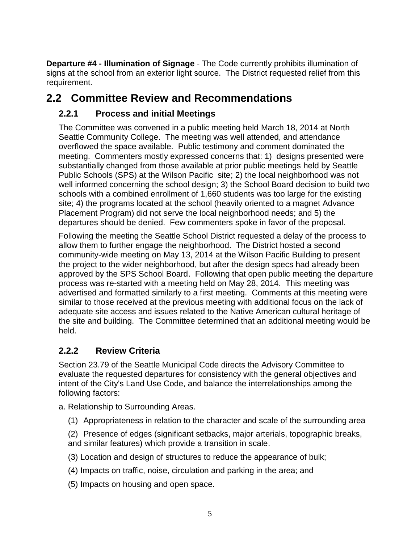**Departure #4 - Illumination of Signage** - The Code currently prohibits illumination of signs at the school from an exterior light source. The District requested relief from this requirement.

### **2.2 Committee Review and Recommendations**

#### **2.2.1 Process and initial Meetings**

The Committee was convened in a public meeting held March 18, 2014 at North Seattle Community College. The meeting was well attended, and attendance overflowed the space available. Public testimony and comment dominated the meeting. Commenters mostly expressed concerns that: 1) designs presented were substantially changed from those available at prior public meetings held by Seattle Public Schools (SPS) at the Wilson Pacific site; 2) the local neighborhood was not well informed concerning the school design; 3) the School Board decision to build two schools with a combined enrollment of 1,660 students was too large for the existing site; 4) the programs located at the school (heavily oriented to a magnet Advance Placement Program) did not serve the local neighborhood needs; and 5) the departures should be denied. Few commenters spoke in favor of the proposal.

Following the meeting the Seattle School District requested a delay of the process to allow them to further engage the neighborhood. The District hosted a second community-wide meeting on May 13, 2014 at the Wilson Pacific Building to present the project to the wider neighborhood, but after the design specs had already been approved by the SPS School Board. Following that open public meeting the departure process was re-started with a meeting held on May 28, 2014. This meeting was advertised and formatted similarly to a first meeting. Comments at this meeting were similar to those received at the previous meeting with additional focus on the lack of adequate site access and issues related to the Native American cultural heritage of the site and building. The Committee determined that an additional meeting would be held.

### **2.2.2 Review Criteria**

Section 23.79 of the Seattle Municipal Code directs the Advisory Committee to evaluate the requested departures for consistency with the general objectives and intent of the City's Land Use Code, and balance the interrelationships among the following factors:

a. Relationship to Surrounding Areas.

(1) Appropriateness in relation to the character and scale of the surrounding area

(2) Presence of edges (significant setbacks, major arterials, topographic breaks, and similar features) which provide a transition in scale.

(3) Location and design of structures to reduce the appearance of bulk;

- (4) Impacts on traffic, noise, circulation and parking in the area; and
- (5) Impacts on housing and open space.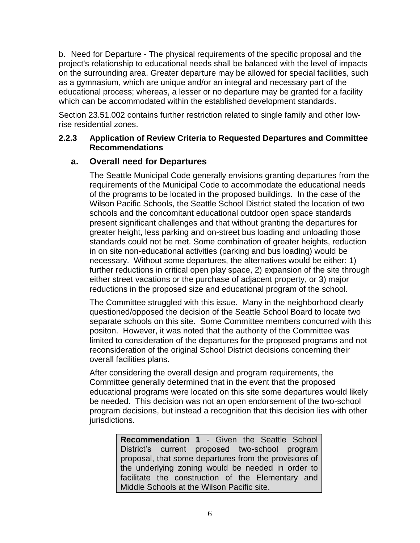b. Need for Departure - The physical requirements of the specific proposal and the project's relationship to educational needs shall be balanced with the level of impacts on the surrounding area. Greater departure may be allowed for special facilities, such as a gymnasium, which are unique and/or an integral and necessary part of the educational process; whereas, a lesser or no departure may be granted for a facility which can be accommodated within the established development standards.

Section 23.51.002 contains further restriction related to single family and other lowrise residential zones.

#### **2.2.3 Application of Review Criteria to Requested Departures and Committee Recommendations**

#### **a. Overall need for Departures**

The Seattle Municipal Code generally envisions granting departures from the requirements of the Municipal Code to accommodate the educational needs of the programs to be located in the proposed buildings. In the case of the Wilson Pacific Schools, the Seattle School District stated the location of two schools and the concomitant educational outdoor open space standards present significant challenges and that without granting the departures for greater height, less parking and on-street bus loading and unloading those standards could not be met. Some combination of greater heights, reduction in on site non-educational activities (parking and bus loading) would be necessary. Without some departures, the alternatives would be either: 1) further reductions in critical open play space, 2) expansion of the site through either street vacations or the purchase of adjacent property, or 3) major reductions in the proposed size and educational program of the school.

The Committee struggled with this issue. Many in the neighborhood clearly questioned/opposed the decision of the Seattle School Board to locate two separate schools on this site. Some Committee members concurred with this positon. However, it was noted that the authority of the Committee was limited to consideration of the departures for the proposed programs and not reconsideration of the original School District decisions concerning their overall facilities plans.

After considering the overall design and program requirements, the Committee generally determined that in the event that the proposed educational programs were located on this site some departures would likely be needed. This decision was not an open endorsement of the two-school program decisions, but instead a recognition that this decision lies with other jurisdictions.

> **Recommendation 1** - Given the Seattle School District's current proposed two-school program proposal, that some departures from the provisions of the underlying zoning would be needed in order to facilitate the construction of the Elementary and Middle Schools at the Wilson Pacific site.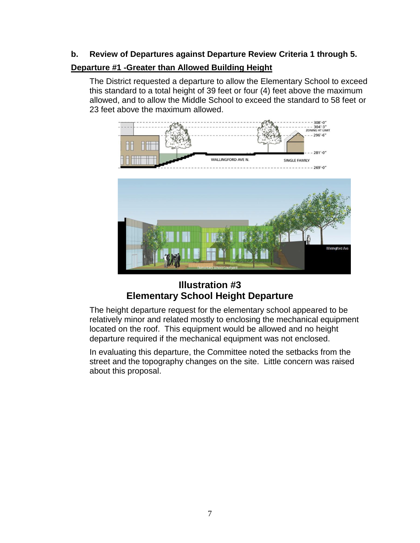#### **b. Review of Departures against Departure Review Criteria 1 through 5.**

#### **Departure #1 -Greater than Allowed Building Height**

The District requested a departure to allow the Elementary School to exceed this standard to a total height of 39 feet or four (4) feet above the maximum allowed, and to allow the Middle School to exceed the standard to 58 feet or 23 feet above the maximum allowed.



#### **Illustration #3 Elementary School Height Departure**

The height departure request for the elementary school appeared to be relatively minor and related mostly to enclosing the mechanical equipment located on the roof. This equipment would be allowed and no height departure required if the mechanical equipment was not enclosed.

In evaluating this departure, the Committee noted the setbacks from the street and the topography changes on the site. Little concern was raised about this proposal.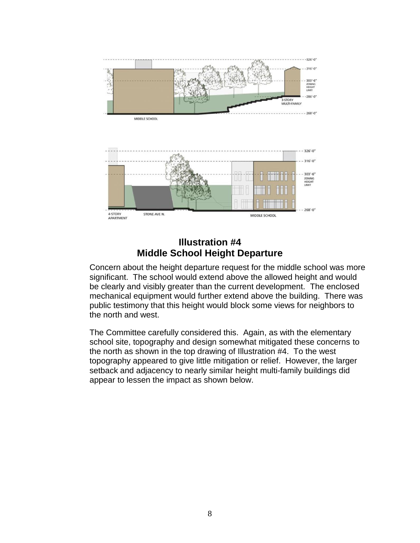

#### **Illustration #4 Middle School Height Departure**

Concern about the height departure request for the middle school was more significant. The school would extend above the allowed height and would be clearly and visibly greater than the current development. The enclosed mechanical equipment would further extend above the building. There was public testimony that this height would block some views for neighbors to the north and west.

The Committee carefully considered this. Again, as with the elementary school site, topography and design somewhat mitigated these concerns to the north as shown in the top drawing of Illustration #4. To the west topography appeared to give little mitigation or relief. However, the larger setback and adjacency to nearly similar height multi-family buildings did appear to lessen the impact as shown below.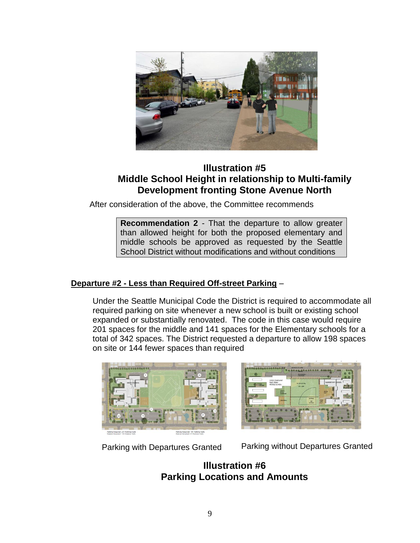

#### **Illustration #5 Middle School Height in relationship to Multi-family Development fronting Stone Avenue North**

After consideration of the above, the Committee recommends

**Recommendation 2** - That the departure to allow greater than allowed height for both the proposed elementary and middle schools be approved as requested by the Seattle School District without modifications and without conditions

#### **Departure #2 - Less than Required Off-street Parking** –

Under the Seattle Municipal Code the District is required to accommodate all required parking on site whenever a new school is built or existing school expanded or substantially renovated. The code in this case would require 201 spaces for the middle and 141 spaces for the Elementary schools for a total of 342 spaces. The District requested a departure to allow 198 spaces on site or 144 fewer spaces than required





Parking with Departures Granted Parking without Departures Granted

**Illustration #6 Parking Locations and Amounts**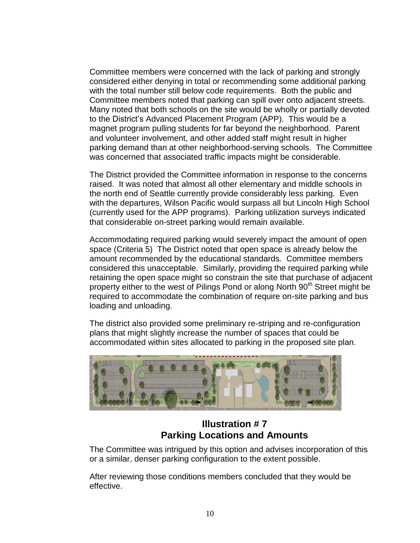Committee members were concerned with the lack of parking and strongly considered either denying in total or recommending some additional parking with the total number still below code requirements. Both the public and Committee members noted that parking can spill over onto adjacent streets. Many noted that both schools on the site would be wholly or partially devoted to the District's Advanced Placement Program (APP). This would be a magnet program pulling students for far beyond the neighborhood. Parent and volunteer involvement, and other added staff might result in higher parking demand than at other neighborhood-serving schools. The Committee was concerned that associated traffic impacts might be considerable.

The District provided the Committee information in response to the concerns raised. It was noted that almost all other elementary and middle schools in the north end of Seattle currently provide considerably less parking. Even with the departures, Wilson Pacific would surpass all but Lincoln High School (currently used for the APP programs). Parking utilization surveys indicated that considerable on-street parking would remain available.

Accommodating required parking would severely impact the amount of open space (Criteria 5) The District noted that open space is already below the amount recommended by the educational standards. Committee members considered this unacceptable. Similarly, providing the required parking while retaining the open space might so constrain the site that purchase of adjacent property either to the west of Pilings Pond or along North 90<sup>th</sup> Street might be required to accommodate the combination of require on-site parking and bus loading and unloading.

The district also provided some preliminary re-striping and re-configuration plans that might slightly increase the number of spaces that could be accommodated within sites allocated to parking in the proposed site plan.



#### **Illustration # 7 Parking Locations and Amounts**

The Committee was intrigued by this option and advises incorporation of this or a similar, denser parking configuration to the extent possible.

After reviewing those conditions members concluded that they would be effective.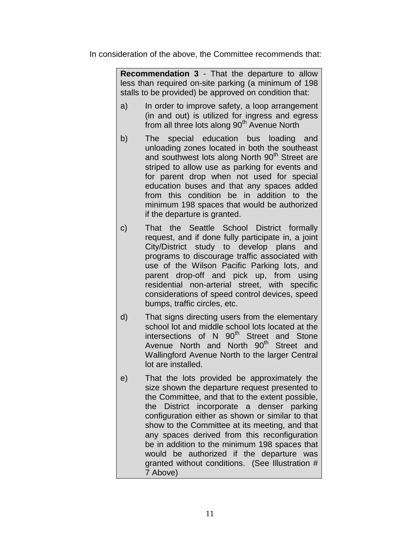In consideration of the above, the Committee recommends that:

**Recommendation 3** - That the departure to allow less than required on-site parking (a minimum of 198 stalls to be provided) be approved on condition that:

- a) In order to improve safety, a loop arrangement (in and out) is utilized for ingress and egress from all three lots along 90<sup>th</sup> Avenue North
- b) The special education bus loading and unloading zones located in both the southeast and southwest lots along North 90<sup>th</sup> Street are striped to allow use as parking for events and for parent drop when not used for special education buses and that any spaces added from this condition be in addition to the minimum 198 spaces that would be authorized if the departure is granted.
- c) That the Seattle School District formally request, and if done fully participate in, a joint City/District study to develop plans and programs to discourage traffic associated with use of the Wilson Pacific Parking lots, and parent drop-off and pick up, from using residential non-arterial street, with specific considerations of speed control devices, speed bumps, traffic circles, etc.
- d) That signs directing users from the elementary school lot and middle school lots located at the intersections of N 90<sup>th</sup> Street and Stone Avenue North and North 90<sup>th</sup> Street and Wallingford Avenue North to the larger Central lot are installed.
- e) That the lots provided be approximately the size shown the departure request presented to the Committee, and that to the extent possible, the District incorporate a denser parking configuration either as shown or similar to that show to the Committee at its meeting, and that any spaces derived from this reconfiguration be in addition to the minimum 198 spaces that would be authorized if the departure was granted without conditions. (See Illustration # 7 Above)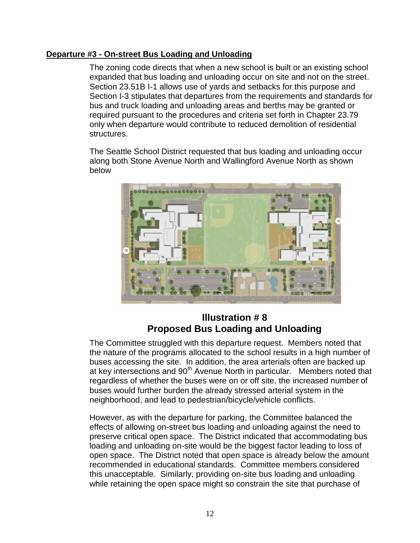#### **Departure #3 - On-street Bus Loading and Unloading**

The zoning code directs that when a new school is built or an existing school expanded that bus loading and unloading occur on site and not on the street. Section 23.51B I-1 allows use of yards and setbacks for this purpose and Section I-3 stipulates that departures from the requirements and standards for bus and truck loading and unloading areas and berths may be granted or required pursuant to the procedures and criteria set forth in Chapter 23.79 only when departure would contribute to reduced demolition of residential structures.

The Seattle School District requested that bus loading and unloading occur along both Stone Avenue North and Wallingford Avenue North as shown below



#### **Illustration # 8 Proposed Bus Loading and Unloading**

The Committee struggled with this departure request. Members noted that the nature of the programs allocated to the school results in a high number of buses accessing the site. In addition, the area arterials often are backed up at key intersections and 90<sup>th</sup> Avenue North in particular. Members noted that regardless of whether the buses were on or off site, the increased number of buses would further burden the already stressed arterial system in the neighborhood, and lead to pedestrian/bicycle/vehicle conflicts.

However, as with the departure for parking, the Committee balanced the effects of allowing on-street bus loading and unloading against the need to preserve critical open space. The District indicated that accommodating bus loading and unloading on-site would be the biggest factor leading to loss of open space. The District noted that open space is already below the amount recommended in educational standards. Committee members considered this unacceptable. Similarly, providing on-site bus loading and unloading while retaining the open space might so constrain the site that purchase of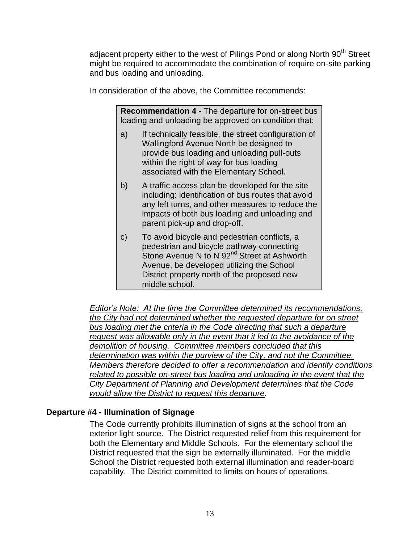adjacent property either to the west of Pilings Pond or along North 90<sup>th</sup> Street might be required to accommodate the combination of require on-site parking and bus loading and unloading.

In consideration of the above, the Committee recommends:

**Recommendation 4** - The departure for on-street bus loading and unloading be approved on condition that:

- a) If technically feasible, the street configuration of Wallingford Avenue North be designed to provide bus loading and unloading pull-outs within the right of way for bus loading associated with the Elementary School.
- b) A traffic access plan be developed for the site including: identification of bus routes that avoid any left turns, and other measures to reduce the impacts of both bus loading and unloading and parent pick-up and drop-off.
- c) To avoid bicycle and pedestrian conflicts, a pedestrian and bicycle pathway connecting Stone Avenue N to N 92<sup>nd</sup> Street at Ashworth Avenue, be developed utilizing the School District property north of the proposed new middle school.

*Editor's Note: At the time the Committee determined its recommendations, the City had not determined whether the requested departure for on street bus loading met the criteria in the Code directing that such a departure request was allowable only in the event that it led to the avoidance of the demolition of housing. Committee members concluded that this determination was within the purview of the City, and not the Committee. Members therefore decided to offer a recommendation and identify conditions related to possible on-street bus loading and unloading in the event that the City Department of Planning and Development determines that the Code would allow the District to request this departure.* 

#### **Departure #4 - Illumination of Signage**

The Code currently prohibits illumination of signs at the school from an exterior light source. The District requested relief from this requirement for both the Elementary and Middle Schools. For the elementary school the District requested that the sign be externally illuminated. For the middle School the District requested both external illumination and reader-board capability. The District committed to limits on hours of operations.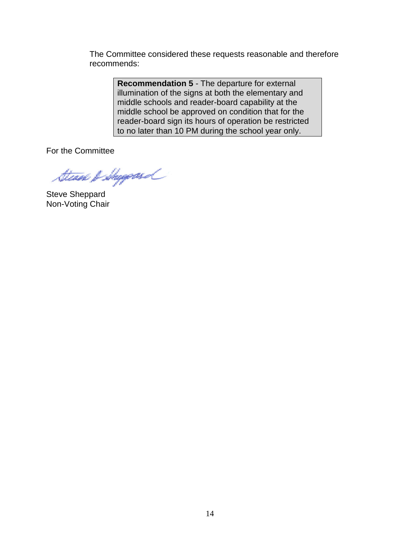The Committee considered these requests reasonable and therefore recommends:

> **Recommendation 5** - The departure for external illumination of the signs at both the elementary and middle schools and reader-board capability at the middle school be approved on condition that for the reader-board sign its hours of operation be restricted to no later than 10 PM during the school year only.

For the Committee

Steam & Shyggeoid

Steve Sheppard Non-Voting Chair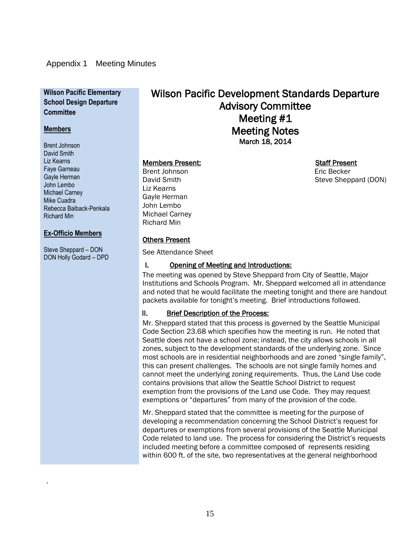#### Appendix 1 Meeting Minutes

#### **Wilson Pacific Elementary School Design Departure Committee**

#### **Members**

Brent Johnson David Smith Liz Kearns Faye Garneau Gayle Herman John Lembo Michael Carney Mike Cuadra Rebecca Baiback-Penkala Richard Min

#### **Ex-Officio Members**

Steve Sheppard – DON DON Holly Godard – DPD

.

### Wilson Pacific Development Standards Departure Advisory Committee Meeting #1 Meeting Notes March 18, 2014

#### Members Present: Staff Present

Brent Johnson **Existence** Eric Becker Liz Kearns Gayle Herman John Lembo Michael Carney Richard Min

### Others Present

See Attendance Sheet

#### I. Opening of Meeting and Introductions:

The meeting was opened by Steve Sheppard from City of Seattle, Major Institutions and Schools Program. Mr. Sheppard welcomed all in attendance and noted that he would facilitate the meeting tonight and there are handout packets available for tonight's meeting. Brief introductions followed.

#### II. Brief Description of the Process:

Mr. Sheppard stated that this process is governed by the Seattle Municipal Code Section 23.68 which specifies how the meeting is run. He noted that Seattle does not have a school zone; instead, the city allows schools in all zones, subject to the development standards of the underlying zone. Since most schools are in residential neighborhoods and are zoned "single family", this can present challenges. The schools are not single family homes and cannot meet the underlying zoning requirements. Thus, the Land Use code contains provisions that allow the Seattle School District to request exemption from the provisions of the Land use Code. They may request exemptions or "departures" from many of the provision of the code.

Mr. Sheppard stated that the committee is meeting for the purpose of developing a recommendation concerning the School District's request for departures or exemptions from several provisions of the Seattle Municipal Code related to land use. The process for considering the District's requests included meeting before a committee composed of represents residing within 600 ft. of the site, two representatives at the general neighborhood

David Smith Steve Sheppard (DON)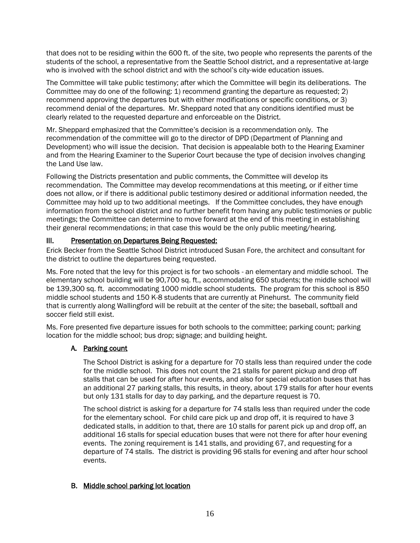that does not to be residing within the 600 ft. of the site, two people who represents the parents of the students of the school, a representative from the Seattle School district, and a representative at-large who is involved with the school district and with the school's city-wide education issues.

The Committee will take public testimony; after which the Committee will begin its deliberations. The Committee may do one of the following: 1) recommend granting the departure as requested; 2) recommend approving the departures but with either modifications or specific conditions, or 3) recommend denial of the departures. Mr. Sheppard noted that any conditions identified must be clearly related to the requested departure and enforceable on the District.

Mr. Sheppard emphasized that the Committee's decision is a recommendation only. The recommendation of the committee will go to the director of DPD (Department of Planning and Development) who will issue the decision. That decision is appealable both to the Hearing Examiner and from the Hearing Examiner to the Superior Court because the type of decision involves changing the Land Use law.

Following the Districts presentation and public comments, the Committee will develop its recommendation. The Committee may develop recommendations at this meeting, or if either time does not allow, or if there is additional public testimony desired or additional information needed, the Committee may hold up to two additional meetings. If the Committee concludes, they have enough information from the school district and no further benefit from having any public testimonies or public meetings; the Committee can determine to move forward at the end of this meeting in establishing their general recommendations; in that case this would be the only public meeting/hearing.

#### III. Presentation on Departures Being Requested:

Erick Becker from the Seattle School District introduced Susan Fore, the architect and consultant for the district to outline the departures being requested.

Ms. Fore noted that the levy for this project is for two schools - an elementary and middle school. The elementary school building will be 90,700 sq. ft., accommodating 650 students; the middle school will be 139,300 sq. ft. accommodating 1000 middle school students. The program for this school is 850 middle school students and 150 K-8 students that are currently at Pinehurst. The community field that is currently along Wallingford will be rebuilt at the center of the site; the baseball, softball and soccer field still exist.

Ms. Fore presented five departure issues for both schools to the committee; parking count; parking location for the middle school; bus drop; signage; and building height.

#### A. Parking count

The School District is asking for a departure for 70 stalls less than required under the code for the middle school. This does not count the 21 stalls for parent pickup and drop off stalls that can be used for after hour events, and also for special education buses that has an additional 27 parking stalls, this results, in theory, about 179 stalls for after hour events but only 131 stalls for day to day parking, and the departure request is 70.

The school district is asking for a departure for 74 stalls less than required under the code for the elementary school. For child care pick up and drop off, it is required to have 3 dedicated stalls, in addition to that, there are 10 stalls for parent pick up and drop off, an additional 16 stalls for special education buses that were not there for after hour evening events. The zoning requirement is 141 stalls, and providing 67, and requesting for a departure of 74 stalls. The district is providing 96 stalls for evening and after hour school events.

#### B. Middle school parking lot location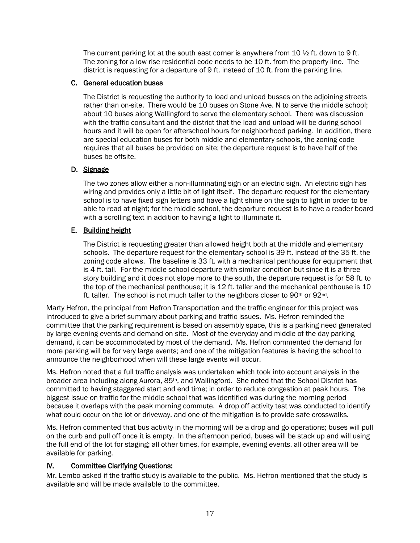The current parking lot at the south east corner is anywhere from  $10 \frac{1}{2}$  ft. down to 9 ft. The zoning for a low rise residential code needs to be 10 ft. from the property line. The district is requesting for a departure of 9 ft. instead of 10 ft. from the parking line.

#### C. General education buses

The District is requesting the authority to load and unload busses on the adjoining streets rather than on-site. There would be 10 buses on Stone Ave. N to serve the middle school; about 10 buses along Wallingford to serve the elementary school. There was discussion with the traffic consultant and the district that the load and unload will be during school hours and it will be open for afterschool hours for neighborhood parking. In addition, there are special education buses for both middle and elementary schools, the zoning code requires that all buses be provided on site; the departure request is to have half of the buses be offsite.

#### D. Signage

The two zones allow either a non-illuminating sign or an electric sign. An electric sign has wiring and provides only a little bit of light itself. The departure request for the elementary school is to have fixed sign letters and have a light shine on the sign to light in order to be able to read at night; for the middle school, the departure request is to have a reader board with a scrolling text in addition to having a light to illuminate it.

#### E. Building height

The District is requesting greater than allowed height both at the middle and elementary schools. The departure request for the elementary school is 39 ft. instead of the 35 ft. the zoning code allows. The baseline is 33 ft. with a mechanical penthouse for equipment that is 4 ft. tall. For the middle school departure with similar condition but since it is a three story building and it does not slope more to the south, the departure request is for 58 ft. to the top of the mechanical penthouse; it is 12 ft. taller and the mechanical penthouse is 10 ft. taller. The school is not much taller to the neighbors closer to 90<sup>th</sup> or 92<sup>nd</sup>.

Marty Hefron, the principal from Hefron Transportation and the traffic engineer for this project was introduced to give a brief summary about parking and traffic issues. Ms. Hefron reminded the committee that the parking requirement is based on assembly space, this is a parking need generated by large evening events and demand on site. Most of the everyday and middle of the day parking demand, it can be accommodated by most of the demand. Ms. Hefron commented the demand for more parking will be for very large events; and one of the mitigation features is having the school to announce the neighborhood when will these large events will occur.

Ms. Hefron noted that a full traffic analysis was undertaken which took into account analysis in the broader area including along Aurora, 85<sup>th</sup>, and Wallingford. She noted that the School District has committed to having staggered start and end time; in order to reduce congestion at peak hours. The biggest issue on traffic for the middle school that was identified was during the morning period because it overlaps with the peak morning commute. A drop off activity test was conducted to identify what could occur on the lot or driveway, and one of the mitigation is to provide safe crosswalks.

Ms. Hefron commented that bus activity in the morning will be a drop and go operations; buses will pull on the curb and pull off once it is empty. In the afternoon period, buses will be stack up and will using the full end of the lot for staging; all other times, for example, evening events, all other area will be available for parking.

#### IV. Committee Clarifying Questions:

Mr. Lembo asked if the traffic study is available to the public. Ms. Hefron mentioned that the study is available and will be made available to the committee.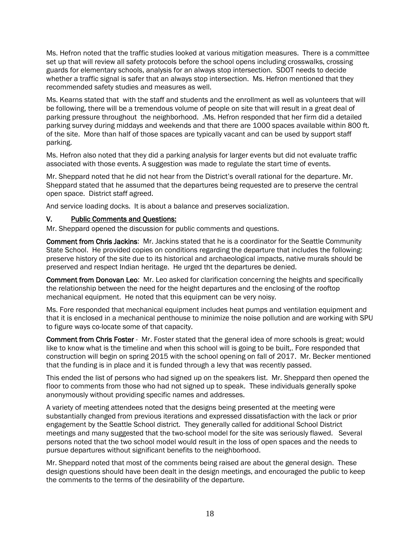Ms. Hefron noted that the traffic studies looked at various mitigation measures. There is a committee set up that will review all safety protocols before the school opens including crosswalks, crossing guards for elementary schools, analysis for an always stop intersection. SDOT needs to decide whether a traffic signal is safer that an always stop intersection. Ms. Hefron mentioned that they recommended safety studies and measures as well.

Ms. Kearns stated that with the staff and students and the enrollment as well as volunteers that will be following, there will be a tremendous volume of people on site that will result in a great deal of parking pressure throughout the neighborhood. .Ms. Hefron responded that her firm did a detailed parking survey during middays and weekends and that there are 1000 spaces available within 800 ft. of the site. More than half of those spaces are typically vacant and can be used by support staff parking.

Ms. Hefron also noted that they did a parking analysis for larger events but did not evaluate traffic associated with those events. A suggestion was made to regulate the start time of events.

Mr. Sheppard noted that he did not hear from the District's overall rational for the departure. Mr. Sheppard stated that he assumed that the departures being requested are to preserve the central open space. District staff agreed.

And service loading docks. It is about a balance and preserves socialization.

#### V. Public Comments and Questions:

Mr. Sheppard opened the discussion for public comments and questions.

Comment from Chris Jackins: Mr. Jackins stated that he is a coordinator for the Seattle Community State School. He provided copies on conditions regarding the departure that includes the following: preserve history of the site due to its historical and archaeological impacts, native murals should be preserved and respect Indian heritage. He urged tht the departures be denied.

Comment from Donovan Leo: Mr. Leo asked for clarification concerning the heights and specifically the relationship between the need for the height departures and the enclosing of the rooftop mechanical equipment. He noted that this equipment can be very noisy.

Ms. Fore responded that mechanical equipment includes heat pumps and ventilation equipment and that it is enclosed in a mechanical penthouse to minimize the noise pollution and are working with SPU to figure ways co-locate some of that capacity.

Comment from Chris Foster - Mr. Foster stated that the general idea of more schools is great; would like to know what is the timeline and when this school will is going to be built,. Fore responded that construction will begin on spring 2015 with the school opening on fall of 2017. Mr. Becker mentioned that the funding is in place and it is funded through a levy that was recently passed.

This ended the list of persons who had signed up on the speakers list. Mr. Sheppard then opened the floor to comments from those who had not signed up to speak. These individuals generally spoke anonymously without providing specific names and addresses.

A variety of meeting attendees noted that the designs being presented at the meeting were substantially changed from previous iterations and expressed dissatisfaction with the lack or prior engagement by the Seattle School district. They generally called for additional School District meetings and many suggested that the two-school model for the site was seriously flawed. Several persons noted that the two school model would result in the loss of open spaces and the needs to pursue departures without significant benefits to the neighborhood.

Mr. Sheppard noted that most of the comments being raised are about the general design. These design questions should have been dealt in the design meetings, and encouraged the public to keep the comments to the terms of the desirability of the departure.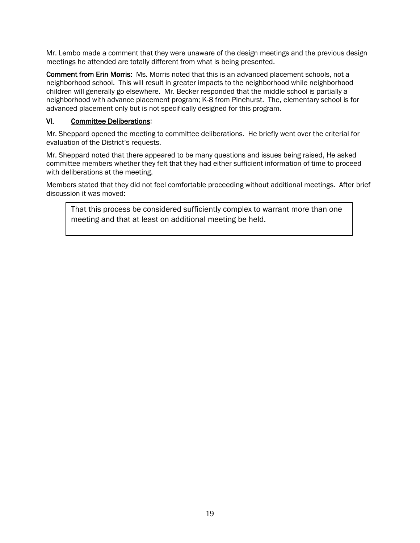Mr. Lembo made a comment that they were unaware of the design meetings and the previous design meetings he attended are totally different from what is being presented.

Comment from Erin Morris: Ms. Morris noted that this is an advanced placement schools, not a neighborhood school. This will result in greater impacts to the neighborhood while neighborhood children will generally go elsewhere. Mr. Becker responded that the middle school is partially a neighborhood with advance placement program; K-8 from Pinehurst. The, elementary school is for advanced placement only but is not specifically designed for this program.

#### VI. Committee Deliberations:

Mr. Sheppard opened the meeting to committee deliberations. He briefly went over the criterial for evaluation of the District's requests.

Mr. Sheppard noted that there appeared to be many questions and issues being raised, He asked committee members whether they felt that they had either sufficient information of time to proceed with deliberations at the meeting.

Members stated that they did not feel comfortable proceeding without additional meetings. After brief discussion it was moved:

That this process be considered sufficiently complex to warrant more than one meeting and that at least on additional meeting be held.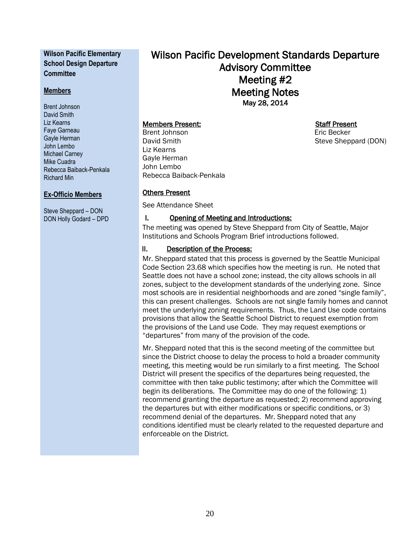#### **Wilson Pacific Elementary School Design Departure Committee**

#### **Members**

Brent Johnson David Smith Liz Kearns Faye Garneau Gayle Herman John Lembo Michael Carney Mike Cuadra Rebecca Baiback-Penkala Richard Min

#### **Ex-Officio Members**

Steve Sheppard – DON DON Holly Godard – DPD Wilson Pacific Development Standards Departure Advisory Committee Meeting #2 Meeting Notes May 28, 2014

#### Members Present: Staff Present

Brent Johnson **Existence** Eric Becker David Smith Steve Sheppard (DON) Liz Kearns Gayle Herman John Lembo Rebecca Baiback-Penkala

#### Others Present

See Attendance Sheet

#### I. Opening of Meeting and Introductions:

The meeting was opened by Steve Sheppard from City of Seattle, Major Institutions and Schools Program Brief introductions followed.

#### II. Description of the Process:

Mr. Sheppard stated that this process is governed by the Seattle Municipal Code Section 23.68 which specifies how the meeting is run. He noted that Seattle does not have a school zone; instead, the city allows schools in all zones, subject to the development standards of the underlying zone. Since most schools are in residential neighborhoods and are zoned "single family", this can present challenges. Schools are not single family homes and cannot meet the underlying zoning requirements. Thus, the Land Use code contains provisions that allow the Seattle School District to request exemption from the provisions of the Land use Code. They may request exemptions or "departures" from many of the provision of the code.

Mr. Sheppard noted that this is the second meeting of the committee but since the District choose to delay the process to hold a broader community meeting, this meeting would be run similarly to a first meeting. The School District will present the specifics of the departures being requested, the committee with then take public testimony; after which the Committee will begin its deliberations. The Committee may do one of the following: 1) recommend granting the departure as requested; 2) recommend approving the departures but with either modifications or specific conditions, or 3) recommend denial of the departures. Mr. Sheppard noted that any conditions identified must be clearly related to the requested departure and enforceable on the District.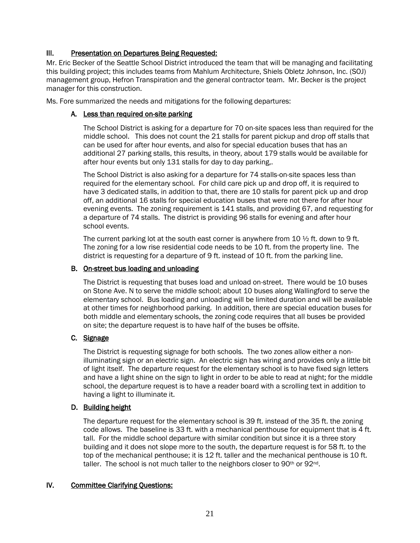#### III. Presentation on Departures Being Requested:

Mr. Eric Becker of the Seattle School District introduced the team that will be managing and facilitating this building project; this includes teams from Mahlum Architecture, Shiels Obletz Johnson, Inc. (SOJ) management group, Hefron Transpiration and the general contractor team. Mr. Becker is the project manager for this construction.

Ms. Fore summarized the needs and mitigations for the following departures:

#### A. Less than required on-site parking

The School District is asking for a departure for 70 on-site spaces less than required for the middle school. This does not count the 21 stalls for parent pickup and drop off stalls that can be used for after hour events, and also for special education buses that has an additional 27 parking stalls, this results, in theory, about 179 stalls would be available for after hour events but only 131 stalls for day to day parking,.

The School District is also asking for a departure for 74 stalls-on-site spaces less than required for the elementary school. For child care pick up and drop off, it is required to have 3 dedicated stalls, in addition to that, there are 10 stalls for parent pick up and drop off, an additional 16 stalls for special education buses that were not there for after hour evening events. The zoning requirement is 141 stalls, and providing 67, and requesting for a departure of 74 stalls. The district is providing 96 stalls for evening and after hour school events.

The current parking lot at the south east corner is anywhere from 10  $\frac{1}{2}$  ft. down to 9 ft. The zoning for a low rise residential code needs to be 10 ft. from the property line. The district is requesting for a departure of 9 ft. instead of 10 ft. from the parking line.

#### B. On-street bus loading and unloading

The District is requesting that buses load and unload on-street. There would be 10 buses on Stone Ave. N to serve the middle school; about 10 buses along Wallingford to serve the elementary school. Bus loading and unloading will be limited duration and will be available at other times for neighborhood parking. In addition, there are special education buses for both middle and elementary schools, the zoning code requires that all buses be provided on site; the departure request is to have half of the buses be offsite.

#### C. Signage

The District is requesting signage for both schools. The two zones allow either a nonilluminating sign or an electric sign. An electric sign has wiring and provides only a little bit of light itself. The departure request for the elementary school is to have fixed sign letters and have a light shine on the sign to light in order to be able to read at night; for the middle school, the departure request is to have a reader board with a scrolling text in addition to having a light to illuminate it.

#### D. Building height

The departure request for the elementary school is 39 ft. instead of the 35 ft. the zoning code allows. The baseline is 33 ft. with a mechanical penthouse for equipment that is 4 ft. tall. For the middle school departure with similar condition but since it is a three story building and it does not slope more to the south, the departure request is for 58 ft. to the top of the mechanical penthouse; it is 12 ft. taller and the mechanical penthouse is 10 ft. taller. The school is not much taller to the neighbors closer to  $90<sup>th</sup>$  or  $92<sup>nd</sup>$ .

#### IV. Committee Clarifying Questions: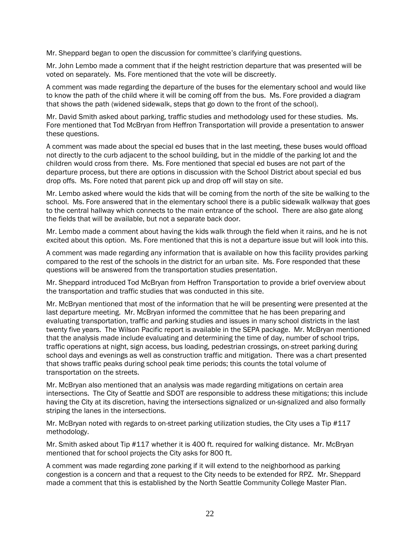Mr. Sheppard began to open the discussion for committee's clarifying questions.

Mr. John Lembo made a comment that if the height restriction departure that was presented will be voted on separately. Ms. Fore mentioned that the vote will be discreetly.

A comment was made regarding the departure of the buses for the elementary school and would like to know the path of the child where it will be coming off from the bus. Ms. Fore provided a diagram that shows the path (widened sidewalk, steps that go down to the front of the school).

Mr. David Smith asked about parking, traffic studies and methodology used for these studies. Ms. Fore mentioned that Tod McBryan from Heffron Transportation will provide a presentation to answer these questions.

A comment was made about the special ed buses that in the last meeting, these buses would offload not directly to the curb adjacent to the school building, but in the middle of the parking lot and the children would cross from there. Ms. Fore mentioned that special ed buses are not part of the departure process, but there are options in discussion with the School District about special ed bus drop offs. Ms. Fore noted that parent pick up and drop off will stay on site.

Mr. Lembo asked where would the kids that will be coming from the north of the site be walking to the school. Ms. Fore answered that in the elementary school there is a public sidewalk walkway that goes to the central hallway which connects to the main entrance of the school. There are also gate along the fields that will be available, but not a separate back door.

Mr. Lembo made a comment about having the kids walk through the field when it rains, and he is not excited about this option. Ms. Fore mentioned that this is not a departure issue but will look into this.

A comment was made regarding any information that is available on how this facility provides parking compared to the rest of the schools in the district for an urban site. Ms. Fore responded that these questions will be answered from the transportation studies presentation.

Mr. Sheppard introduced Tod McBryan from Heffron Transportation to provide a brief overview about the transportation and traffic studies that was conducted in this site.

Mr. McBryan mentioned that most of the information that he will be presenting were presented at the last departure meeting. Mr. McBryan informed the committee that he has been preparing and evaluating transportation, traffic and parking studies and issues in many school districts in the last twenty five years. The Wilson Pacific report is available in the SEPA package. Mr. McBryan mentioned that the analysis made include evaluating and determining the time of day, number of school trips, traffic operations at night, sign access, bus loading, pedestrian crossings, on-street parking during school days and evenings as well as construction traffic and mitigation. There was a chart presented that shows traffic peaks during school peak time periods; this counts the total volume of transportation on the streets.

Mr. McBryan also mentioned that an analysis was made regarding mitigations on certain area intersections. The City of Seattle and SDOT are responsible to address these mitigations; this include having the City at its discretion, having the intersections signalized or un-signalized and also formally striping the lanes in the intersections.

Mr. McBryan noted with regards to on-street parking utilization studies, the City uses a Tip #117 methodology.

Mr. Smith asked about Tip #117 whether it is 400 ft. required for walking distance. Mr. McBryan mentioned that for school projects the City asks for 800 ft.

A comment was made regarding zone parking if it will extend to the neighborhood as parking congestion is a concern and that a request to the City needs to be extended for RPZ. Mr. Sheppard made a comment that this is established by the North Seattle Community College Master Plan.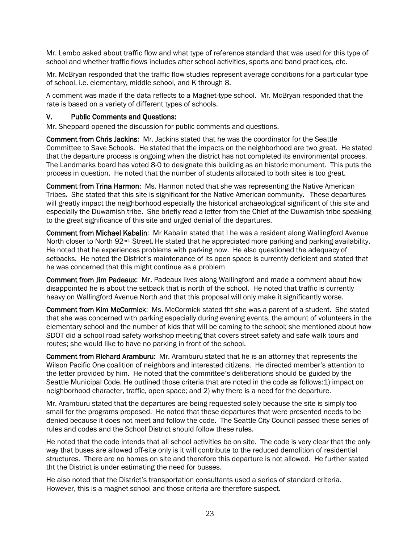Mr. Lembo asked about traffic flow and what type of reference standard that was used for this type of school and whether traffic flows includes after school activities, sports and band practices, etc.

Mr. McBryan responded that the traffic flow studies represent average conditions for a particular type of school, i.e. elementary, middle school, and K through 8.

A comment was made if the data reflects to a Magnet-type school. Mr. McBryan responded that the rate is based on a variety of different types of schools.

#### V. Public Comments and Questions:

Mr. Sheppard opened the discussion for public comments and questions.

Comment from Chris Jackins: Mr. Jackins stated that he was the coordinator for the Seattle Committee to Save Schools. He stated that the impacts on the neighborhood are two great. He stated that the departure process is ongoing when the district has not completed its environmental process. The Landmarks board has voted 8-0 to designate this building as an historic monument. This puts the process in question. He noted that the number of students allocated to both sites is too great.

Comment from Trina Harmon: Ms. Harmon noted that she was representing the Native American Tribes. She stated that this site is significant for the Native American community. These departures will greatly impact the neighborhood especially the historical archaeological significant of this site and especially the Duwamish tribe. She briefly read a letter from the Chief of the Duwamish tribe speaking to the great significance of this site and urged denial of the departures.

Comment from Michael Kabalin: Mr Kabalin stated that l he was a resident along Wallingford Avenue North closer to North 92<sup>nd.</sup> Street. He stated that he appreciated more parking and parking availability. He noted that he experiences problems with parking now. He also questioned the adequacy of setbacks. He noted the District's maintenance of its open space is currently deficient and stated that he was concerned that this might continue as a problem

Comment from Jim Padeaux: Mr. Padeaux lives along Wallingford and made a comment about how disappointed he is about the setback that is north of the school. He noted that traffic is currently heavy on Wallingford Avenue North and that this proposal will only make it significantly worse.

Comment from Kim McCormick: Ms. McCormick stated tht she was a parent of a student. She stated that she was concerned with parking especially during evening events, the amount of volunteers in the elementary school and the number of kids that will be coming to the school; she mentioned about how SDOT did a school road safety workshop meeting that covers street safety and safe walk tours and routes; she would like to have no parking in front of the school.

Comment from Richard Aramburu: Mr. Aramburu stated that he is an attorney that represents the Wilson Pacific One coalition of neighbors and interested citizens. He directed member's attention to the letter provided by him. He noted that the committee's deliberations should be guided by the Seattle Municipal Code. He outlined those criteria that are noted in the code as follows:1) impact on neighborhood character, traffic, open space; and 2) why there is a need for the departure.

Mr. Aramburu stated that the departures are being requested solely because the site is simply too small for the programs proposed. He noted that these departures that were presented needs to be denied because it does not meet and follow the code. The Seattle City Council passed these series of rules and codes and the School District should follow these rules.

He noted that the code intends that all school activities be on site. The code is very clear that the only way that buses are allowed off-site only is it will contribute to the reduced demolition of residential structures. There are no homes on site and therefore this departure is not allowed. He further stated tht the District is under estimating the need for busses.

He also noted that the District's transportation consultants used a series of standard criteria. However, this is a magnet school and those criteria are therefore suspect.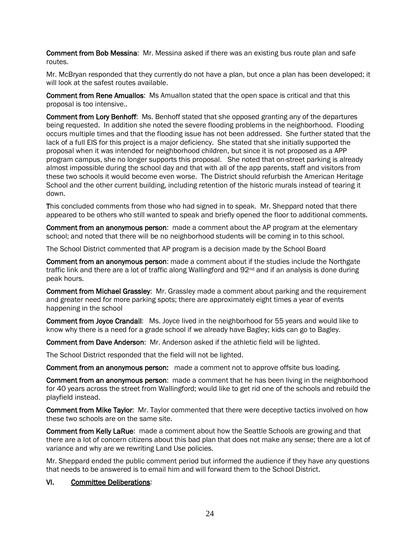Comment from Bob Messina: Mr. Messina asked if there was an existing bus route plan and safe routes.

Mr. McBryan responded that they currently do not have a plan, but once a plan has been developed; it will look at the safest routes available.

Comment from Rene Amuallos: Ms Amuallon stated that the open space is critical and that this proposal is too intensive..

Comment from Lory Benhoff: Ms. Benhoff stated that she opposed granting any of the departures being requested. In addition she noted the severe flooding problems in the neighborhood. Flooding occurs multiple times and that the flooding issue has not been addressed. She further stated that the lack of a full EIS for this project is a major deficiency. She stated that she initially supported the proposal when it was intended for neighborhood children, but since it is not proposed as a APP program campus, she no longer supports this proposal. She noted that on-street parking is already almost impossible during the school day and that with all of the app parents, staff and visitors from these two schools it would become even worse. The District should refurbish the American Heritage School and the other current building, including retention of the historic murals instead of tearing it down.

This concluded comments from those who had signed in to speak. Mr. Sheppard noted that there appeared to be others who still wanted to speak and briefly opened the floor to additional comments.

Comment from an anonymous person: made a comment about the AP program at the elementary school; and noted that there will be no neighborhood students will be coming in to this school.

The School District commented that AP program is a decision made by the School Board

Comment from an anonymous person: made a comment about if the studies include the Northgate traffic link and there are a lot of traffic along Wallingford and  $92<sup>nd</sup>$  and if an analysis is done during peak hours.

Comment from Michael Grassley: Mr. Grassley made a comment about parking and the requirement and greater need for more parking spots; there are approximately eight times a year of events happening in the school

Comment from Joyce Crandall: Ms. Joyce lived in the neighborhood for 55 years and would like to know why there is a need for a grade school if we already have Bagley; kids can go to Bagley.

Comment from Dave Anderson: Mr. Anderson asked if the athletic field will be lighted.

The School District responded that the field will not be lighted.

**Comment from an anonymous person:** made a comment not to approve offsite bus loading.

Comment from an anonymous person: made a comment that he has been living in the neighborhood for 40 years across the street from Wallingford; would like to get rid one of the schools and rebuild the playfield instead.

Comment from Mike Taylor: Mr. Taylor commented that there were deceptive tactics involved on how these two schools are on the same site.

Comment from Kelly LaRue: made a comment about how the Seattle Schools are growing and that there are a lot of concern citizens about this bad plan that does not make any sense; there are a lot of variance and why are we rewriting Land Use policies.

Mr. Sheppard ended the public comment period but informed the audience if they have any questions that needs to be answered is to email him and will forward them to the School District.

#### VI. Committee Deliberations: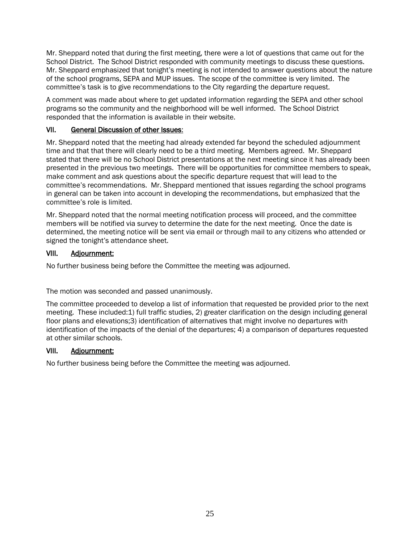Mr. Sheppard noted that during the first meeting, there were a lot of questions that came out for the School District. The School District responded with community meetings to discuss these questions. Mr. Sheppard emphasized that tonight's meeting is not intended to answer questions about the nature of the school programs, SEPA and MUP issues. The scope of the committee is very limited. The committee's task is to give recommendations to the City regarding the departure request.

A comment was made about where to get updated information regarding the SEPA and other school programs so the community and the neighborhood will be well informed. The School District responded that the information is available in their website.

#### VII. General Discussion of other Issues:

Mr. Sheppard noted that the meeting had already extended far beyond the scheduled adjournment time and that that there will clearly need to be a third meeting. Members agreed. Mr. Sheppard stated that there will be no School District presentations at the next meeting since it has already been presented in the previous two meetings. There will be opportunities for committee members to speak, make comment and ask questions about the specific departure request that will lead to the committee's recommendations. Mr. Sheppard mentioned that issues regarding the school programs in general can be taken into account in developing the recommendations, but emphasized that the committee's role is limited.

Mr. Sheppard noted that the normal meeting notification process will proceed, and the committee members will be notified via survey to determine the date for the next meeting. Once the date is determined, the meeting notice will be sent via email or through mail to any citizens who attended or signed the tonight's attendance sheet.

#### VIII. Adjournment:

No further business being before the Committee the meeting was adjourned.

The motion was seconded and passed unanimously.

The committee proceeded to develop a list of information that requested be provided prior to the next meeting. These included:1) full traffic studies, 2) greater clarification on the design including general floor plans and elevations;3) identification of alternatives that might involve no departures with identification of the impacts of the denial of the departures; 4) a comparison of departures requested at other similar schools.

#### VIII. Adjournment:

No further business being before the Committee the meeting was adjourned.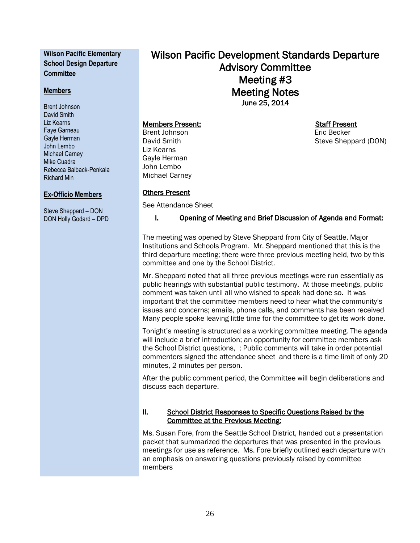#### **Wilson Pacific Elementary School Design Departure Committee**

#### **Members**

Brent Johnson David Smith Liz Kearns Faye Garneau Gayle Herman John Lembo Michael Carney Mike Cuadra Rebecca Baiback-Penkala Richard Min

#### **Ex-Officio Members**

Steve Sheppard – DON DON Holly Godard – DPD Wilson Pacific Development Standards Departure Advisory Committee Meeting #3 Meeting Notes June 25, 2014

#### Members Present: Staff Present

Brent Johnson **Existence** Eric Becker David Smith Steve Sheppard (DON) Liz Kearns Gayle Herman John Lembo Michael Carney

#### Others Present

See Attendance Sheet

#### I. Opening of Meeting and Brief Discussion of Agenda and Format:

The meeting was opened by Steve Sheppard from City of Seattle, Major Institutions and Schools Program. Mr. Sheppard mentioned that this is the third departure meeting; there were three previous meeting held, two by this committee and one by the School District.

Mr. Sheppard noted that all three previous meetings were run essentially as public hearings with substantial public testimony. At those meetings, public comment was taken until all who wished to speak had done so. It was important that the committee members need to hear what the community's issues and concerns; emails, phone calls, and comments has been received Many people spoke leaving little time for the committee to get its work done.

Tonight's meeting is structured as a working committee meeting. The agenda will include a brief introduction; an opportunity for committee members ask the School District questions, ; Public comments will take in order potential commenters signed the attendance sheet and there is a time limit of only 20 minutes, 2 minutes per person.

After the public comment period, the Committee will begin deliberations and discuss each departure.

#### II. School District Responses to Specific Questions Raised by the Committee at the Previous Meeting:

Ms. Susan Fore, from the Seattle School District, handed out a presentation packet that summarized the departures that was presented in the previous meetings for use as reference. Ms. Fore briefly outlined each departure with an emphasis on answering questions previously raised by committee members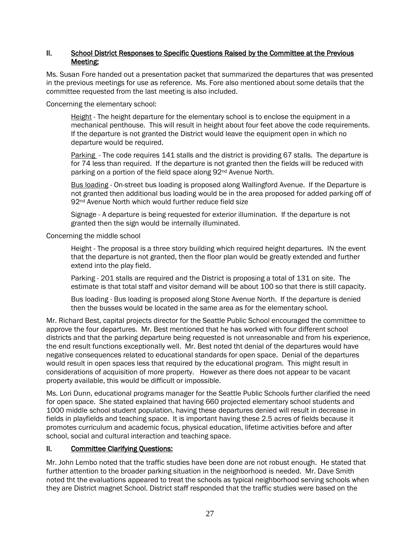#### II. School District Responses to Specific Questions Raised by the Committee at the Previous Meeting:

Ms. Susan Fore handed out a presentation packet that summarized the departures that was presented in the previous meetings for use as reference. Ms. Fore also mentioned about some details that the committee requested from the last meeting is also included.

Concerning the elementary school:

Height - The height departure for the elementary school is to enclose the equipment in a mechanical penthouse. This will result in height about four feet above the code requirements. If the departure is not granted the District would leave the equipment open in which no departure would be required.

Parking - The code requires 141 stalls and the district is providing 67 stalls. The departure is for 74 less than required. If the departure is not granted then the fields will be reduced with parking on a portion of the field space along 92nd Avenue North.

Bus loading - On-street bus loading is proposed along Wallingford Avenue. If the Departure is not granted then additional bus loading would be in the area proposed for added parking off of 92<sup>nd</sup> Avenue North which would further reduce field size

Signage - A departure is being requested for exterior illumination. If the departure is not granted then the sign would be internally illuminated.

Concerning the middle school

Height - The proposal is a three story building which required height departures. IN the event that the departure is not granted, then the floor plan would be greatly extended and further extend into the play field.

Parking - 201 stalls are required and the District is proposing a total of 131 on site. The estimate is that total staff and visitor demand will be about 100 so that there is still capacity.

Bus loading - Bus loading is proposed along Stone Avenue North. If the departure is denied then the busses would be located in the same area as for the elementary school.

Mr. Richard Best, capital projects director for the Seattle Public School encouraged the committee to approve the four departures. Mr. Best mentioned that he has worked with four different school districts and that the parking departure being requested is not unreasonable and from his experience, the end result functions exceptionally well. Mr. Best noted tht denial of the departures would have negative consequences related to educational standards for open space. Denial of the departures would result in open spaces less that required by the educational program. This might result in considerations of acquisition of more property. However as there does not appear to be vacant property available, this would be difficult or impossible.

Ms. Lori Dunn, educational programs manager for the Seattle Public Schools further clarified the need for open space. She stated explained that having 660 projected elementary school students and 1000 middle school student population, having these departures denied will result in decrease in fields in playfields and teaching space. It is important having these 2.5 acres of fields because it promotes curriculum and academic focus, physical education, lifetime activities before and after school, social and cultural interaction and teaching space.

#### II. Committee Clarifying Questions:

Mr. John Lembo noted that the traffic studies have been done are not robust enough. He stated that further attention to the broader parking situation in the neighborhood is needed. Mr. Dave Smith noted tht the evaluations appeared to treat the schools as typical neighborhood serving schools when they are District magnet School. District staff responded that the traffic studies were based on the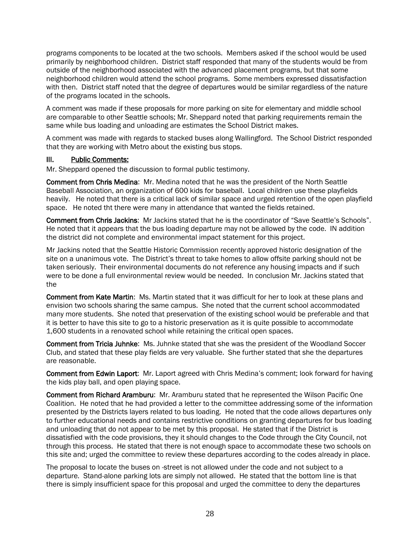programs components to be located at the two schools. Members asked if the school would be used primarily by neighborhood children. District staff responded that many of the students would be from outside of the neighborhood associated with the advanced placement programs, but that some neighborhood children would attend the school programs. Some members expressed dissatisfaction with then. District staff noted that the degree of departures would be similar regardless of the nature of the programs located in the schools.

A comment was made if these proposals for more parking on site for elementary and middle school are comparable to other Seattle schools; Mr. Sheppard noted that parking requirements remain the same while bus loading and unloading are estimates the School District makes.

A comment was made with regards to stacked buses along Wallingford. The School District responded that they are working with Metro about the existing bus stops.

#### III. Public Comments:

Mr. Sheppard opened the discussion to formal public testimony.

Comment from Chris Medina: Mr. Medina noted that he was the president of the North Seattle Baseball Association, an organization of 600 kids for baseball. Local children use these playfields heavily. He noted that there is a critical lack of similar space and urged retention of the open playfield space. He noted tht there were many in attendance that wanted the fields retained.

Comment from Chris Jackins: Mr Jackins stated that he is the coordinator of "Save Seattle's Schools". He noted that it appears that the bus loading departure may not be allowed by the code. IN addition the district did not complete and environmental impact statement for this project.

Mr Jackins noted that the Seattle Historic Commission recently approved historic designation of the site on a unanimous vote. The District's threat to take homes to allow offsite parking should not be taken seriously. Their environmental documents do not reference any housing impacts and if such were to be done a full environmental review would be needed. In conclusion Mr. Jackins stated that the

Comment from Kate Martin: Ms. Martin stated that it was difficult for her to look at these plans and envision two schools sharing the same campus. She noted that the current school accommodated many more students. She noted that preservation of the existing school would be preferable and that it is better to have this site to go to a historic preservation as it is quite possible to accommodate 1,600 students in a renovated school while retaining the critical open spaces.

Comment from Tricia Juhnke: Ms. Juhnke stated that she was the president of the Woodland Soccer Club, and stated that these play fields are very valuable. She further stated that she the departures are reasonable.

Comment from Edwin Laport: Mr. Laport agreed with Chris Medina's comment; look forward for having the kids play ball, and open playing space.

Comment from Richard Aramburu: Mr. Aramburu stated that he represented the Wilson Pacific One Coalition. He noted that he had provided a letter to the committee addressing some of the information presented by the Districts layers related to bus loading. He noted that the code allows departures only to further educational needs and contains restrictive conditions on granting departures for bus loading and unloading that do not appear to be met by this proposal. He stated that if the District is dissatisfied with the code provisions, they it should changes to the Code through the City Council, not through this process. He stated that there is not enough space to accommodate these two schools on this site and; urged the committee to review these departures according to the codes already in place.

The proposal to locate the buses on -street is not allowed under the code and not subject to a departure. Stand-alone parking lots are simply not allowed. He stated that the bottom line is that there is simply insufficient space for this proposal and urged the committee to deny the departures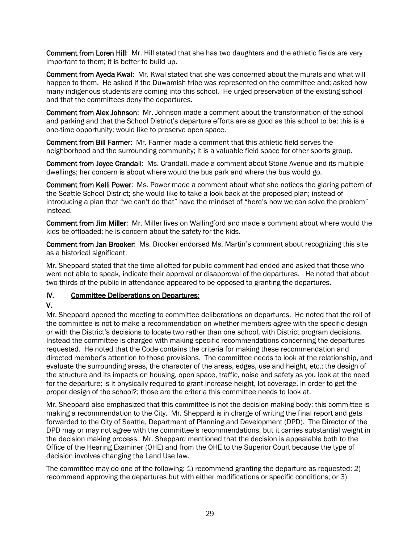Comment from Loren Hill: Mr. Hill stated that she has two daughters and the athletic fields are very important to them; it is better to build up.

Comment from Ayeda Kwal: Mr. Kwal stated that she was concerned about the murals and what will happen to them. He asked if the Duwamish tribe was represented on the committee and; asked how many indigenous students are coming into this school. He urged preservation of the existing school and that the committees deny the departures.

Comment from Alex Johnson: Mr. Johnson made a comment about the transformation of the school and parking and that the School District's departure efforts are as good as this school to be; this is a one-time opportunity; would like to preserve open space.

Comment from Bill Farmer: Mr. Farmer made a comment that this athletic field serves the neighborhood and the surrounding community; it is a valuable field space for other sports group.

Comment from Joyce Crandall: Ms. Crandall. made a comment about Stone Avenue and its multiple dwellings; her concern is about where would the bus park and where the bus would go.

Comment from Kelli Power: Ms. Power made a comment about what she notices the glaring pattern of the Seattle School District; she would like to take a look back at the proposed plan; instead of introducing a plan that "we can't do that" have the mindset of "here's how we can solve the problem" instead.

Comment from Jim Miller: Mr. Miller lives on Wallingford and made a comment about where would the kids be offloaded; he is concern about the safety for the kids.

Comment from Jan Brooker: Ms. Brooker endorsed Ms. Martin's comment about recognizing this site as a historical significant.

Mr. Sheppard stated that the time allotted for public comment had ended and asked that those who were not able to speak, indicate their approval or disapproval of the departures. He noted that about two-thirds of the public in attendance appeared to be opposed to granting the departures.

#### IV. Committee Deliberations on Departures:

#### V.

Mr. Sheppard opened the meeting to committee deliberations on departures. He noted that the roll of the committee is not to make a recommendation on whether members agree with the specific design or with the District's decisions to locate two rather than one school, with District program decisions. Instead the committee is charged with making specific recommendations concerning the departures requested. He noted that the Code contains the criteria for making these recommendation and directed member's attention to those provisions. The committee needs to look at the relationship, and evaluate the surrounding areas, the character of the areas, edges, use and height, etc.; the design of the structure and its impacts on housing, open space, traffic, noise and safety as you look at the need for the departure; is it physically required to grant increase height, lot coverage, in order to get the proper design of the school?; those are the criteria this committee needs to look at.

Mr. Sheppard also emphasized that this committee is not the decision making body; this committee is making a recommendation to the City. Mr. Sheppard is in charge of writing the final report and gets forwarded to the City of Seattle, Department of Planning and Development (DPD). The Director of the DPD may or may not agree with the committee's recommendations, but it carries substantial weight in the decision making process. Mr. Sheppard mentioned that the decision is appealable both to the Office of the Hearing Examiner (OHE) and from the OHE to the Superior Court because the type of decision involves changing the Land Use law.

The committee may do one of the following: 1) recommend granting the departure as requested; 2) recommend approving the departures but with either modifications or specific conditions; or 3)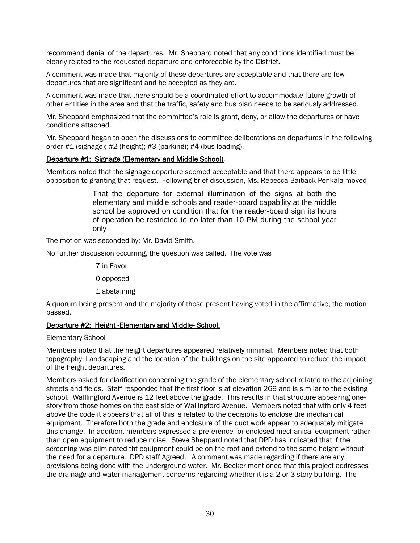recommend denial of the departures. Mr. Sheppard noted that any conditions identified must be clearly related to the requested departure and enforceable by the District.

A comment was made that majority of these departures are acceptable and that there are few departures that are significant and be accepted as they are.

A comment was made that there should be a coordinated effort to accommodate future growth of other entities in the area and that the traffic, safety and bus plan needs to be seriously addressed.

Mr. Sheppard emphasized that the committee's role is grant, deny, or allow the departures or have conditions attached.

Mr. Sheppard began to open the discussions to committee deliberations on departures in the following order #1 (signage); #2 (height); #3 (parking); #4 (bus loading).

#### Departure #1: Signage (Elementary and Middle School).

Members noted that the signage departure seemed acceptable and that there appears to be little opposition to granting that request. Following brief discussion, Ms. Rebecca Baiback-Penkala moved

> That the departure for external illumination of the signs at both the elementary and middle schools and reader-board capability at the middle school be approved on condition that for the reader-board sign its hours of operation be restricted to no later than 10 PM during the school year only

The motion was seconded by; Mr. David Smith.

No further discussion occurring, the question was called. The vote was

7 in Favor

0 opposed

1 abstaining

A quorum being present and the majority of those present having voted in the affirmative, the motion passed.

#### Departure #2: Height -Elementary and Middle- School.

#### Elementary School

Members noted that the height departures appeared relatively minimal. Members noted that both topography. Landscaping and the location of the buildings on the site appeared to reduce the impact of the height departures.

Members asked for clarification concerning the grade of the elementary school related to the adjoining streets and fields. Staff responded that the first floor is at elevation 269 and is similar to the existing school. Walllingford Avenue is 12 feet above the grade. This results in that structure appearing onestory from those homes on the east side of Wallingford Avenue. Members noted that with only 4 feet above the code it appears that all of this is related to the decisions to enclose the mechanical equipment. Therefore both the grade and enclosure of the duct work appear to adequately mitigate this change. In addition, members expressed a preference for enclosed mechanical equipment rather than open equipment to reduce noise. Steve Sheppard noted that DPD has indicated that if the screening was eliminated tht equipment could be on the roof and extend to the same height without the need for a departure. DPD staff Agreed. A comment was made regarding if there are any provisions being done with the underground water. Mr. Becker mentioned that this project addresses the drainage and water management concerns regarding whether it is a 2 or 3 story building. The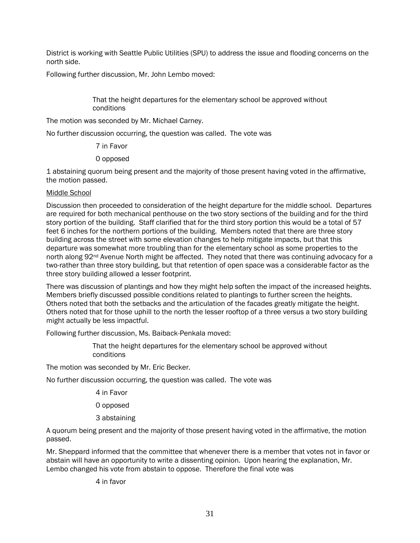District is working with Seattle Public Utilities (SPU) to address the issue and flooding concerns on the north side.

Following further discussion, Mr. John Lembo moved:

That the height departures for the elementary school be approved without conditions

The motion was seconded by Mr. Michael Carney.

No further discussion occurring, the question was called. The vote was

7 in Favor

0 opposed

1 abstaining quorum being present and the majority of those present having voted in the affirmative, the motion passed.

#### Middle School

Discussion then proceeded to consideration of the height departure for the middle school. Departures are required for both mechanical penthouse on the two story sections of the building and for the third story portion of the building. Staff clarified that for the third story portion this would be a total of 57 feet 6 inches for the northern portions of the building. Members noted that there are three story building across the street with some elevation changes to help mitigate impacts, but that this departure was somewhat more troubling than for the elementary school as some properties to the north along 92<sup>nd</sup> Avenue North might be affected. They noted that there was continuing advocacy for a two-rather than three story building, but that retention of open space was a considerable factor as the three story building allowed a lesser footprint.

There was discussion of plantings and how they might help soften the impact of the increased heights. Members briefly discussed possible conditions related to plantings to further screen the heights. Others noted that both the setbacks and the articulation of the facades greatly mitigate the height. Others noted that for those uphill to the north the lesser rooftop of a three versus a two story building might actually be less impactful.

Following further discussion, Ms. Baiback-Penkala moved:

That the height departures for the elementary school be approved without conditions

The motion was seconded by Mr. Eric Becker.

No further discussion occurring, the question was called. The vote was

- 4 in Favor
- 0 opposed
- 3 abstaining

A quorum being present and the majority of those present having voted in the affirmative, the motion passed.

Mr. Sheppard informed that the committee that whenever there is a member that votes not in favor or abstain will have an opportunity to write a dissenting opinion. Upon hearing the explanation, Mr. Lembo changed his vote from abstain to oppose. Therefore the final vote was

4 in favor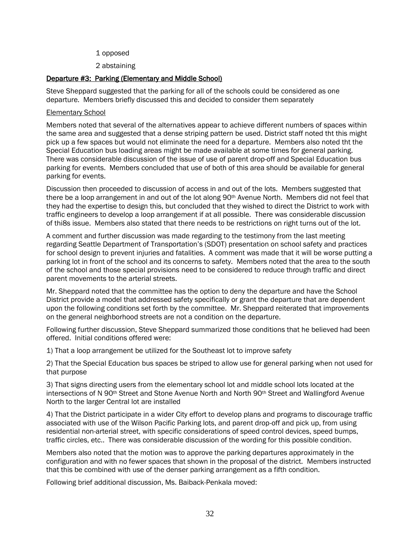- 1 opposed
- 2 abstaining

#### Departure #3: Parking (Elementary and Middle School)

Steve Sheppard suggested that the parking for all of the schools could be considered as one departure. Members briefly discussed this and decided to consider them separately

#### Elementary School

Members noted that several of the alternatives appear to achieve different numbers of spaces within the same area and suggested that a dense striping pattern be used. District staff noted tht this might pick up a few spaces but would not eliminate the need for a departure. Members also noted tht the Special Education bus loading areas might be made available at some times for general parking. There was considerable discussion of the issue of use of parent drop-off and Special Education bus parking for events. Members concluded that use of both of this area should be available for general parking for events.

Discussion then proceeded to discussion of access in and out of the lots. Members suggested that there be a loop arrangement in and out of the lot along 90th Avenue North. Members did not feel that they had the expertise to design this, but concluded that they wished to direct the District to work with traffic engineers to develop a loop arrangement if at all possible. There was considerable discussion of thi8s issue. Members also stated that there needs to be restrictions on right turns out of the lot.

A comment and further discussion was made regarding to the testimony from the last meeting regarding Seattle Department of Transportation's (SDOT) presentation on school safety and practices for school design to prevent injuries and fatalities. A comment was made that it will be worse putting a parking lot in front of the school and its concerns to safety. Members noted that the area to the south of the school and those special provisions need to be considered to reduce through traffic and direct parent movements to the arterial streets.

Mr. Sheppard noted that the committee has the option to deny the departure and have the School District provide a model that addressed safety specifically or grant the departure that are dependent upon the following conditions set forth by the committee. Mr. Sheppard reiterated that improvements on the general neighborhood streets are not a condition on the departure.

Following further discussion, Steve Sheppard summarized those conditions that he believed had been offered. Initial conditions offered were:

1) That a loop arrangement be utilized for the Southeast lot to improve safety

2) That the Special Education bus spaces be striped to allow use for general parking when not used for that purpose

3) That signs directing users from the elementary school lot and middle school lots located at the intersections of N 90<sup>th</sup> Street and Stone Avenue North and North 90<sup>th</sup> Street and Wallingford Avenue North to the larger Central lot are installed

4) That the District participate in a wider City effort to develop plans and programs to discourage traffic associated with use of the Wilson Pacific Parking lots, and parent drop-off and pick up, from using residential non-arterial street, with specific considerations of speed control devices, speed bumps, traffic circles, etc.. There was considerable discussion of the wording for this possible condition.

Members also noted that the motion was to approve the parking departures approximately in the configuration and with no fewer spaces that shown in the proposal of the district. Members instructed that this be combined with use of the denser parking arrangement as a fifth condition.

Following brief additional discussion, Ms. Baiback-Penkala moved: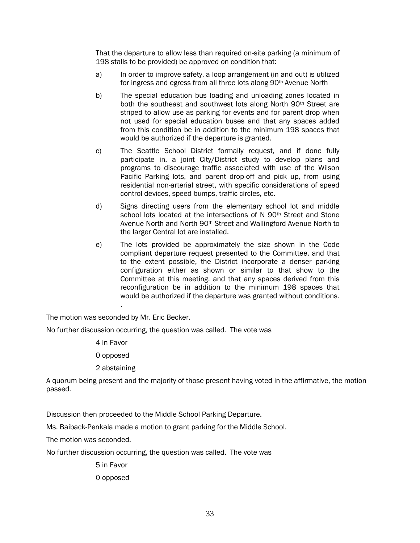That the departure to allow less than required on-site parking (a minimum of 198 stalls to be provided) be approved on condition that:

- a) In order to improve safety, a loop arrangement (in and out) is utilized for ingress and egress from all three lots along 90th Avenue North
- b) The special education bus loading and unloading zones located in both the southeast and southwest lots along North 90<sup>th</sup> Street are striped to allow use as parking for events and for parent drop when not used for special education buses and that any spaces added from this condition be in addition to the minimum 198 spaces that would be authorized if the departure is granted.
- c) The Seattle School District formally request, and if done fully participate in, a joint City/District study to develop plans and programs to discourage traffic associated with use of the Wilson Pacific Parking lots, and parent drop-off and pick up, from using residential non-arterial street, with specific considerations of speed control devices, speed bumps, traffic circles, etc.
- d) Signs directing users from the elementary school lot and middle school lots located at the intersections of N 90<sup>th</sup> Street and Stone Avenue North and North 90th Street and Wallingford Avenue North to the larger Central lot are installed.
- e) The lots provided be approximately the size shown in the Code compliant departure request presented to the Committee, and that to the extent possible, the District incorporate a denser parking configuration either as shown or similar to that show to the Committee at this meeting, and that any spaces derived from this reconfiguration be in addition to the minimum 198 spaces that would be authorized if the departure was granted without conditions.

The motion was seconded by Mr. Eric Becker.

.

No further discussion occurring, the question was called. The vote was

4 in Favor

0 opposed

2 abstaining

A quorum being present and the majority of those present having voted in the affirmative, the motion passed.

Discussion then proceeded to the Middle School Parking Departure.

Ms. Baiback-Penkala made a motion to grant parking for the Middle School.

The motion was seconded.

No further discussion occurring, the question was called. The vote was

5 in Favor

0 opposed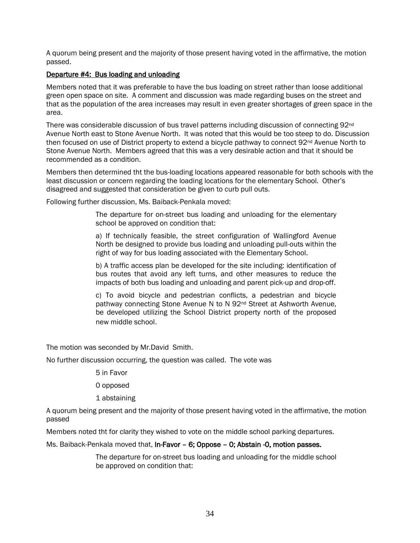A quorum being present and the majority of those present having voted in the affirmative, the motion passed.

#### Departure #4: Bus loading and unloading

Members noted that it was preferable to have the bus loading on street rather than loose additional green open space on site. A comment and discussion was made regarding buses on the street and that as the population of the area increases may result in even greater shortages of green space in the area.

There was considerable discussion of bus travel patterns including discussion of connecting 92<sup>nd</sup> Avenue North east to Stone Avenue North. It was noted that this would be too steep to do. Discussion then focused on use of District property to extend a bicycle pathway to connect 92<sup>nd</sup> Avenue North to Stone Avenue North. Members agreed that this was a very desirable action and that it should be recommended as a condition.

Members then determined tht the bus-loading locations appeared reasonable for both schools with the least discussion or concern regarding the loading locations for the elementary School. Other's disagreed and suggested that consideration be given to curb pull outs.

Following further discussion, Ms. Baiback-Penkala moved:

The departure for on-street bus loading and unloading for the elementary school be approved on condition that:

a) If technically feasible, the street configuration of Wallingford Avenue North be designed to provide bus loading and unloading pull-outs within the right of way for bus loading associated with the Elementary School.

b) A traffic access plan be developed for the site including: identification of bus routes that avoid any left turns, and other measures to reduce the impacts of both bus loading and unloading and parent pick-up and drop-off.

c) To avoid bicycle and pedestrian conflicts, a pedestrian and bicycle pathway connecting Stone Avenue N to N 92nd Street at Ashworth Avenue, be developed utilizing the School District property north of the proposed new middle school.

The motion was seconded by Mr.David Smith.

No further discussion occurring, the question was called. The vote was

5 in Favor

- 0 opposed
- 1 abstaining

A quorum being present and the majority of those present having voted in the affirmative, the motion passed

Members noted tht for clarity they wished to vote on the middle school parking departures.

Ms. Baiback-Penkala moved that, In-Favor - 6; Oppose - 0; Abstain -0, motion passes.

The departure for on-street bus loading and unloading for the middle school be approved on condition that: